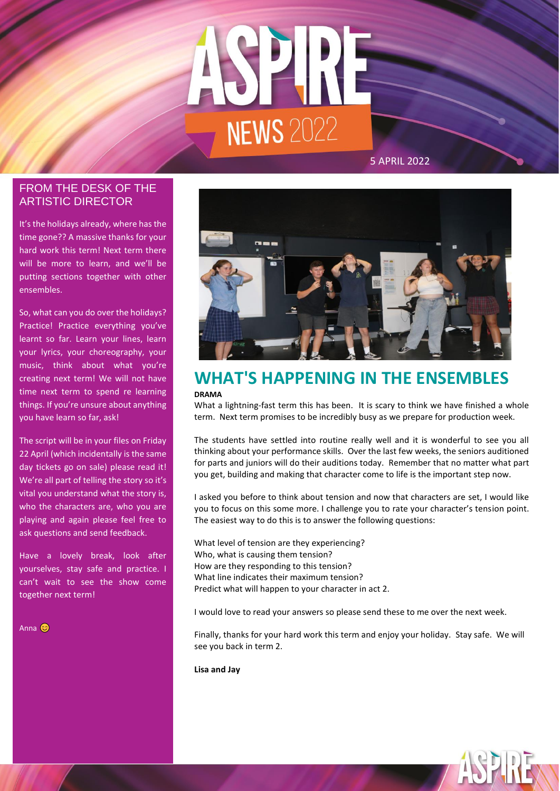

# ARTISTIC DIRECTOR FROM THE DESK OF THE

It's the holidays already, where has the time gone?? A massive thanks for your hard work this term! Next term there will be more to learn, and we'll be putting sections together with other ensembles.

So, what can you do over the holidays? Practice! Practice everything you've learnt so far. Learn your lines, learn your lyrics, your choreography, your music, think about what you're creating next term! We will not have time next term to spend re learning things. If you're unsure about anything you have learn so far, ask!

The script will be in your files on Friday 22 April (which incidentally is the same day tickets go on sale) please read it! We're all part of telling the story so it's vital you understand what the story is, who the characters are, who you are playing and again please feel free to ask questions and send feedback.

Have a lovely break, look after yourselves, stay safe and practice. I can't wait to see the show come together next term!

Anna **C** 



# **WHAT'S HAPPENING IN THE ENSEMBLES DRAMA**

What a lightning-fast term this has been. It is scary to think we have finished a whole term. Next term promises to be incredibly busy as we prepare for production week.

The students have settled into routine really well and it is wonderful to see you all thinking about your performance skills. Over the last few weeks, the seniors auditioned for parts and juniors will do their auditions today. Remember that no matter what part you get, building and making that character come to life is the important step now.

I asked you before to think about tension and now that characters are set, I would like you to focus on this some more. I challenge you to rate your character's tension point. The easiest way to do this is to answer the following questions:

What level of tension are they experiencing? Who, what is causing them tension? How are they responding to this tension? What line indicates their maximum tension? Predict what will happen to your character in act 2.

I would love to read your answers so please send these to me over the next week.

Finally, thanks for your hard work this term and enjoy your holiday. Stay safe. We will see you back in term 2.

**Lisa and Jay**

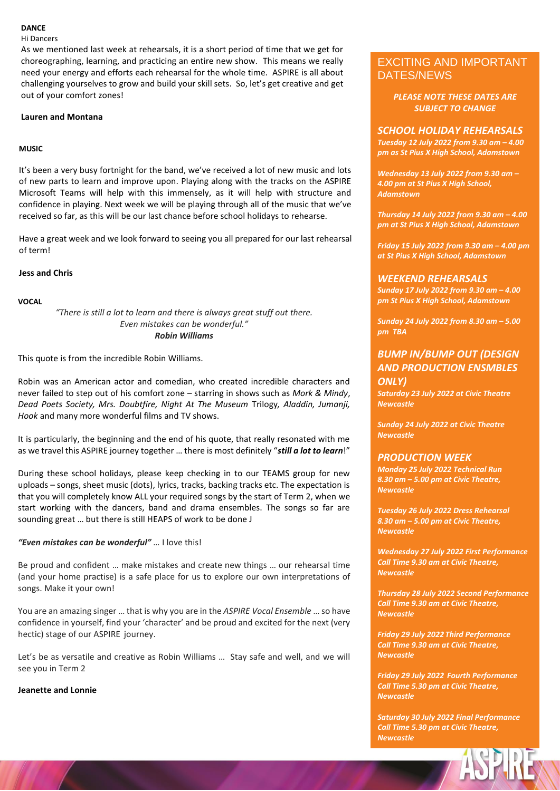#### **DANCE**

Hi Dancers

As we mentioned last week at rehearsals, it is a short period of time that we get for choreographing, learning, and practicing an entire new show. This means we really need your energy and efforts each rehearsal for the whole time. ASPIRE is all about challenging yourselves to grow and build your skill sets. So, let's get creative and get out of your comfort zones!

# **Lauren and Montana**

### **MUSIC**

It's been a very busy fortnight for the band, we've received a lot of new music and lots of new parts to learn and improve upon. Playing along with the tracks on the ASPIRE Microsoft Teams will help with this immensely, as it will help with structure and confidence in playing. Next week we will be playing through all of the music that we've received so far, as this will be our last chance before school holidays to rehearse.

Have a great week and we look forward to seeing you all prepared for our last rehearsal of term!

### **Jess and Chris**

### **VOCAL**

*"There is still a lot to learn and there is always great stuff out there. Even mistakes can be wonderful." Robin Williams*

This quote is from the incredible Robin Williams.

Robin was an American actor and comedian, who created incredible characters and never failed to step out of his comfort zone – starring in shows such as *Mork & Mindy*, *Dead Poets Society, Mrs. Doubtfire, Night At The Museum* Trilogy*, Aladdin, Jumanji, Hook* and many more wonderful films and TV shows.

It is particularly, the beginning and the end of his quote, that really resonated with me as we travel this ASPIRE journey together … there is most definitely "*still a lot to learn*!"

During these school holidays, please keep checking in to our TEAMS group for new uploads – songs, sheet music (dots), lyrics, tracks, backing tracks etc. The expectation is that you will completely know ALL your required songs by the start of Term 2, when we start working with the dancers, band and drama ensembles. The songs so far are sounding great … but there is still HEAPS of work to be done J

# *"Even mistakes can be wonderful" …* I love this!

Be proud and confident … make mistakes and create new things … our rehearsal time (and your home practise) is a safe place for us to explore our own interpretations of songs. Make it your own!

You are an amazing singer … that is why you are in the *ASPIRE Vocal Ensemble* … so have confidence in yourself, find your 'character' and be proud and excited for the next (very hectic) stage of our ASPIRE journey.

Let's be as versatile and creative as Robin Williams … Stay safe and well, and we will see you in Term 2

#### **Jeanette and Lonnie**

# EXCITING AND IMPORTANT DATES/NEWS

*PLEASE NOTE THESE DATES ARE SUBJECT TO CHANGE*

#### *SCHOOL HOLIDAY REHEARSALS*

*Tuesday 12 July 2022 from 9.30 am – 4.00 pm as St Pius X High School, Adamstown*

*Wednesday 13 July 2022 from 9.30 am – 4.00 pm at St Pius X High School, Adamstown*

*Thursday 14 July 2022 from 9.30 am – 4.00 pm at St Pius X High School, Adamstown*

*Friday 15 July 2022 from 9.30 am – 4.00 pm at St Pius X High School, Adamstown*

### *WEEKEND REHEARSALS*

*Sunday 17 July 2022 from 9.30 am – 4.00 pm St Pius X High School, Adamstown*

*Sunday 24 July 2022 from 8.30 am – 5.00 pm TBA*

# *BUMP IN/BUMP OUT (DESIGN AND PRODUCTION ENSMBLES ONLY)*

*Saturday 23 July 2022 at Civic Theatre Newcastle*

*Sunday 24 July 2022 at Civic Theatre Newcastle*

# *PRODUCTION WEEK*

*Monday 25 July 2022 Technical Run 8.30 am – 5.00 pm at Civic Theatre, Newcastle*

*Tuesday 26 July 2022 Dress Rehearsal 8.30 am – 5.00 pm at Civic Theatre, Newcastle*

*Wednesday 27 July 2022 First Performance Call Time 9.30 am at Civic Theatre, Newcastle*

*Thursday 28 July 2022 Second Performance Call Time 9.30 am at Civic Theatre, Newcastle*

*Friday 29 July 2022 Third Performance Call Time 9.30 am at Civic Theatre, Newcastle*

*Friday 29 July 2022 Fourth Performance Call Time 5.30 pm at Civic Theatre, Newcastle*

*Saturday 30 July 2022 Final Performance Call Time 5.30 pm at Civic Theatre, Newcastle*